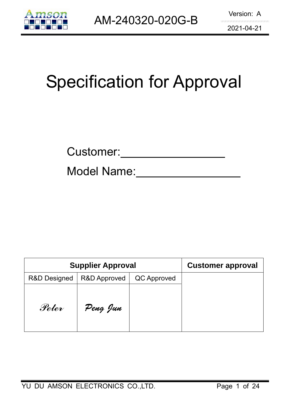

# Specification for Approval

| Customer: |  |
|-----------|--|
|           |  |

Model Name:

| <b>Supplier Approval</b> | <b>Customer approval</b> |             |  |
|--------------------------|--------------------------|-------------|--|
| <b>R&amp;D Designed</b>  | <b>R&amp;D Approved</b>  | QC Approved |  |
| Peter                    | Peng Jun                 |             |  |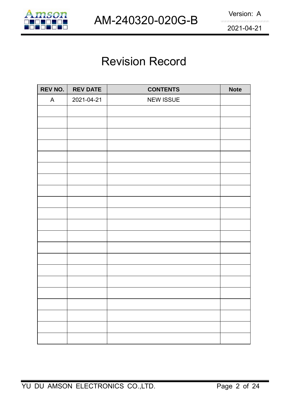

## Revision Record

| REV NO. | <b>REV DATE</b> | <b>CONTENTS</b>  | <b>Note</b> |
|---------|-----------------|------------------|-------------|
| A       | 2021-04-21      | <b>NEW ISSUE</b> |             |
|         |                 |                  |             |
|         |                 |                  |             |
|         |                 |                  |             |
|         |                 |                  |             |
|         |                 |                  |             |
|         |                 |                  |             |
|         |                 |                  |             |
|         |                 |                  |             |
|         |                 |                  |             |
|         |                 |                  |             |
|         |                 |                  |             |
|         |                 |                  |             |
|         |                 |                  |             |
|         |                 |                  |             |
|         |                 |                  |             |
|         |                 |                  |             |
|         |                 |                  |             |
|         |                 |                  |             |
|         |                 |                  |             |
|         |                 |                  |             |
|         |                 |                  |             |
|         |                 |                  |             |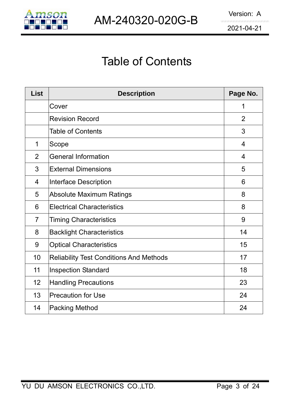

## Table of Contents

| <b>List</b>    | <b>Description</b>                             | Page No.       |
|----------------|------------------------------------------------|----------------|
|                | Cover                                          | 1              |
|                | <b>Revision Record</b>                         | 2              |
|                | <b>Table of Contents</b>                       | 3              |
| 1              | Scope                                          | $\overline{4}$ |
| $\overline{2}$ | <b>General Information</b>                     | $\overline{4}$ |
| 3              | <b>External Dimensions</b>                     | 5              |
| $\overline{4}$ | Interface Description                          | 6              |
| 5              | <b>Absolute Maximum Ratings</b>                | 8              |
| 6              | <b>Electrical Characteristics</b>              | 8              |
| $\overline{7}$ | <b>Timing Characteristics</b>                  | 9              |
| 8              | <b>Backlight Characteristics</b>               | 14             |
| 9              | <b>Optical Characteristics</b>                 | 15             |
| 10             | <b>Reliability Test Conditions And Methods</b> | 17             |
| 11             | <b>Inspection Standard</b>                     | 18             |
| 12             | <b>Handling Precautions</b>                    | 23             |
| 13             | <b>Precaution for Use</b>                      | 24             |
| 14             | <b>Packing Method</b>                          | 24             |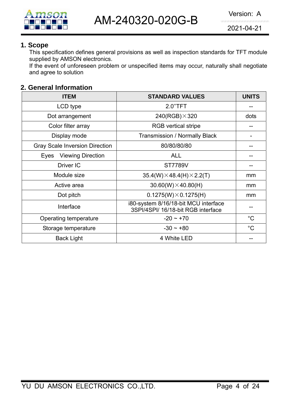

#### **1. Scope**

This specification defines general provisions as well as inspection standards for TFT module supplied by AMSON electronics.

If the event of unforeseen problem or unspecified items may occur, naturally shall negotiate and agree to solution

### **2. General Information**

| <b>ITEM</b>                           | <b>STANDARD VALUES</b>                                                     | <b>UNITS</b> |
|---------------------------------------|----------------------------------------------------------------------------|--------------|
| LCD type                              | 2.0"TFT                                                                    |              |
| Dot arrangement                       | $240(RGB)\times320$                                                        | dots         |
| Color filter array                    | <b>RGB</b> vertical stripe                                                 |              |
| Display mode                          | <b>Transmission / Normally Black</b>                                       |              |
| <b>Gray Scale Inversion Direction</b> | 80/80/80/80                                                                |              |
| <b>Viewing Direction</b><br>Eyes      | <b>ALL</b>                                                                 |              |
| Driver IC                             | <b>ST7789V</b>                                                             |              |
| Module size                           | $35.4(W) \times 48.4(H) \times 2.2(T)$                                     | mm           |
| Active area                           | $30.60(W) \times 40.80(H)$                                                 | mm           |
| Dot pitch                             | $0.1275(W) \times 0.1275(H)$                                               | mm           |
| Interface                             | i80-system 8/16/18-bit MCU interface<br>3SPI/4SPI/ 16/18-bit RGB interface |              |
| Operating temperature                 | $-20 \sim +70$                                                             | $^{\circ}C$  |
| Storage temperature                   | $-30 \sim +80$                                                             | $^{\circ}C$  |
| <b>Back Light</b>                     | 4 White LED                                                                |              |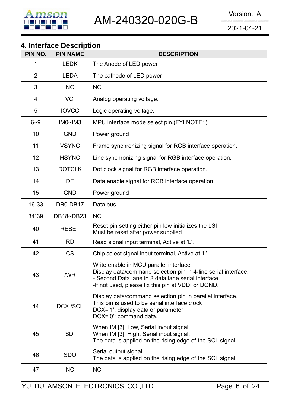

## **4. Interface Description**

| PIN NO.        | <b>PIN NAME</b> | <b>DESCRIPTION</b>                                                                                                                                                                                                    |
|----------------|-----------------|-----------------------------------------------------------------------------------------------------------------------------------------------------------------------------------------------------------------------|
| 1              | <b>LEDK</b>     | The Anode of LED power                                                                                                                                                                                                |
| $\overline{2}$ | <b>LEDA</b>     | The cathode of LED power                                                                                                                                                                                              |
| 3              | <b>NC</b>       | <b>NC</b>                                                                                                                                                                                                             |
| 4              | <b>VCI</b>      | Analog operating voltage.                                                                                                                                                                                             |
| 5              | <b>IOVCC</b>    | Logic operating voltage.                                                                                                                                                                                              |
| $6 - 9$        | IMO~IM3         | MPU interface mode select pin, (FYI NOTE1)                                                                                                                                                                            |
| 10             | <b>GND</b>      | Power ground                                                                                                                                                                                                          |
| 11             | <b>VSYNC</b>    | Frame synchronizing signal for RGB interface operation.                                                                                                                                                               |
| 12             | <b>HSYNC</b>    | Line synchronizing signal for RGB interface operation.                                                                                                                                                                |
| 13             | <b>DOTCLK</b>   | Dot clock signal for RGB interface operation.                                                                                                                                                                         |
| 14             | DE              | Data enable signal for RGB interface operation.                                                                                                                                                                       |
| 15             | <b>GND</b>      | Power ground                                                                                                                                                                                                          |
| 16-33          | DB0-DB17        | Data bus                                                                                                                                                                                                              |
| 34`39          | DB18~DB23       | <b>NC</b>                                                                                                                                                                                                             |
| 40             | <b>RESET</b>    | Reset pin setting either pin low initializes the LSI<br>Must be reset after power supplied                                                                                                                            |
| 41             | <b>RD</b>       | Read signal input terminal, Active at 'L'.                                                                                                                                                                            |
| 42             | <b>CS</b>       | Chip select signal input terminal, Active at 'L'                                                                                                                                                                      |
| 43             | /WR             | Write enable in MCU parallel interface<br>Display data/command selection pin in 4-line serial interface.<br>- Second Data lane in 2 data lane serial interface.<br>-If not used, please fix this pin at VDDI or DGND. |
| 44             | <b>DCX/SCL</b>  | Display data/command selection pin in parallel interface.<br>This pin is used to be serial interface clock<br>DCX='1': display data or parameter<br>DCX='0': command data.                                            |
| 45             | <b>SDI</b>      | When IM [3]: Low, Serial in/out signal.<br>When IM [3]: High, Serial input signal.<br>The data is applied on the rising edge of the SCL signal.                                                                       |
| 46             | <b>SDO</b>      | Serial output signal.<br>The data is applied on the rising edge of the SCL signal.                                                                                                                                    |
| 47             | <b>NC</b>       | <b>NC</b>                                                                                                                                                                                                             |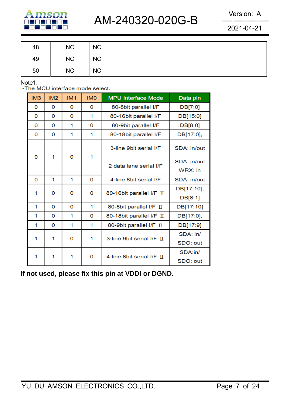

| 48 | NC        | <b>NC</b> |
|----|-----------|-----------|
| 49 | NC        | <b>NC</b> |
| 50 | <b>NC</b> | <b>NC</b> |

Note1:<br>-The MCU interface mode select.

| IM3 | IM2      | IM1 | <b>IMO</b> | <b>MPU Interface Mode</b>      | Data pin                 |
|-----|----------|-----|------------|--------------------------------|--------------------------|
| 0   | 0        | 0   | 0          | 80-8bit parallel I/F           | DB[7:0]                  |
| 0   | 0        | 0   | 1          | 80-16bit parallel I/F          | DB[15:0]                 |
| 0   | 0        | 1   | 0          | 80-9bit parallel I/F           | DB[8:0]                  |
| 0   | 0        | 1   | 1          | 80-18bit parallel I/F          | DB[17:0],                |
|     | 1        | 0   | 1          | 3-line 9bit serial I/F         | SDA: in/out              |
| 0   |          |     |            | 2 data lane serial I/F         | SDA: in/out<br>$WRX:$ in |
| 0   | 1        | 1   | 0          | 4-line 8bit serial I/F         | SDA: in/out              |
| 1   | 0        | 0   | 0          | 80-16bit parallel I/F II       | DB[17:10],<br>DB[8:1]    |
| 1   | 0        | 0   | 1          | 80-8bit parallel I/F II        | DB[17:10]                |
| 1   | $\Omega$ | 1   | 0          | 80-18bit parallel I/F II       | DB[17:0],                |
| 1   | 0        | 1   | 1          | 80-9bit parallel I/F II        | DB[17:9]                 |
| 1   | 1        | 0   | 1          | 3-line 9bit serial I/F II      | SDA: in/<br>SDO: out     |
| 1   | 1        | 1   | 0          | 4-line 8bit serial $I/F$ $\Pi$ | SDA:in/<br>SDO: out      |

**If not used, please fix this pin at VDDI or DGND.**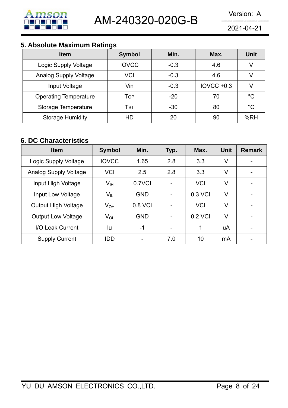

## **5. Absolute Maximum Ratings**

| <b>Item</b>                  | <b>Symbol</b> | Min.   | Max.         | <b>Unit</b> |
|------------------------------|---------------|--------|--------------|-------------|
| Logic Supply Voltage         | <b>IOVCC</b>  | $-0.3$ | 4.6          | V           |
| <b>Analog Supply Voltage</b> | VCI           | $-0.3$ | 4.6          | V           |
| Input Voltage                | Vin           | $-0.3$ | $IOVCC +0.3$ | V           |
| <b>Operating Temperature</b> | Top           | $-20$  | 70           | $^{\circ}C$ |
| Storage Temperature          | Tst           | $-30$  | 80           | $^{\circ}C$ |
| <b>Storage Humidity</b>      | HD            | 20     | 90           | %RH         |

## **6. DC Characteristics**

| <b>Item</b>                  | <b>Symbol</b>              | Min.       | Typ. | Max.       | <b>Unit</b> | <b>Remark</b> |
|------------------------------|----------------------------|------------|------|------------|-------------|---------------|
| Logic Supply Voltage         | <b>IOVCC</b>               | 1.65       | 2.8  | 3.3        | V           |               |
| <b>Analog Supply Voltage</b> | <b>VCI</b>                 | 2.5        | 2.8  | 3.3        | V           |               |
| Input High Voltage           | V <sub>IH</sub>            | 0.7VCI     |      | <b>VCI</b> | V           |               |
| Input Low Voltage            | $\mathsf{V}_{\mathsf{IL}}$ | <b>GND</b> |      | 0.3 VCI    | V           |               |
| <b>Output High Voltage</b>   | $V_{OH}$                   | 0.8 VCI    |      | <b>VCI</b> | V           |               |
| <b>Output Low Voltage</b>    | $V_{OL}$                   | <b>GND</b> |      | 0.2 VCI    | V           |               |
| I/O Leak Current             | Iц                         | -1         |      | 1          | uA          |               |
| <b>Supply Current</b>        | <b>IDD</b>                 |            | 7.0  | 10         | mA          |               |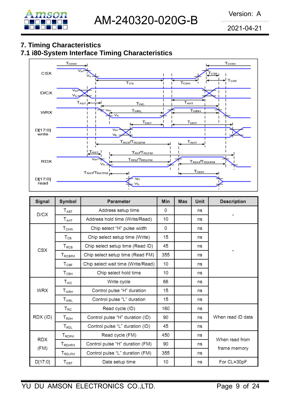

## **7. Timing Characteristics**

## **7.1 i80-System Interface Timing Characteristics**



| <b>Signal</b>      | <b>Symbol</b>                                                                                                    | <b>Parameter</b>                   | <b>Min</b> | <b>Max</b> | <b>Unit</b> | <b>Description</b> |  |
|--------------------|------------------------------------------------------------------------------------------------------------------|------------------------------------|------------|------------|-------------|--------------------|--|
| D/CX               | $T_{\rm{AST}}$                                                                                                   | Address setup time                 | 0          |            | ns          |                    |  |
|                    | $T_{\scriptscriptstyle\rm AHT}$                                                                                  | Address hold time (Write/Read)     | 10         |            | ns          |                    |  |
|                    | <b>T<sub>CHW</sub></b>                                                                                           | Chip select "H" pulse width        | 0          |            | ns          |                    |  |
|                    | $T_{\rm CS}$                                                                                                     | Chip select setup time (Write)     | 15         |            | ns          |                    |  |
|                    | Chip select setup time (Read ID)<br>$T_{RCS}$<br><b>CSX</b><br>Chip select setup time (Read FM)<br><b>TRCSFM</b> |                                    | 45         |            | ns          |                    |  |
|                    |                                                                                                                  |                                    | 355        |            | ns          |                    |  |
| $T_{CSF}$          |                                                                                                                  | Chip select wait time (Write/Read) | 10         |            | ns          |                    |  |
|                    | Chip select hold time<br>$T_{\text{CSH}}$                                                                        |                                    | 10         |            | ns          |                    |  |
|                    | $T_{WC}$                                                                                                         | Write cycle                        | 66         |            | ns          |                    |  |
| <b>WRX</b>         | $\mathsf{T}_{\mathsf{WRH}}$                                                                                      | Control pulse "H" duration         | 15         |            | ns          |                    |  |
|                    | Control pulse "L" duration<br><b>T</b> <sub>WRL</sub>                                                            |                                    | 15         |            | ns          |                    |  |
|                    | T <sub>RC</sub>                                                                                                  | Read cycle (ID)                    | 160        |            | ns          |                    |  |
| RDX (ID)           | $T_{RDH}$                                                                                                        | Control pulse "H" duration (ID)    | 90         |            | ns          | When read ID data  |  |
| $T_{\mathsf{RDL}}$ |                                                                                                                  | Control pulse "L" duration (ID)    | 45         |            | ns          |                    |  |
| <b>RDX</b>         | T <sub>RCFM</sub>                                                                                                | Read cycle (FM)                    | 450        |            | ns          | When read from     |  |
| (FM)               | <b>TRDHFM</b>                                                                                                    | Control pulse "H" duration (FM)    | 90         |            | ns          |                    |  |
|                    | TRDLFM                                                                                                           | Control pulse "L" duration (FM)    | 355        |            | ns          | frame memory       |  |
| D[17:0]            | $\mathsf{T}_{\mathsf{DST}}$                                                                                      | Data setup time                    | 10         |            | ns          | For CL=30pF        |  |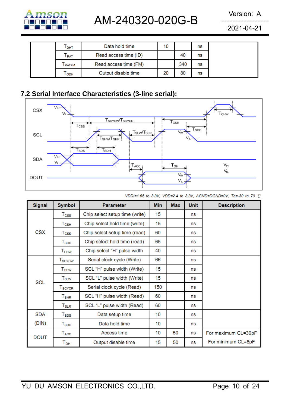

## AM-240320-020G-B Version: A

2021-04-21

| I DHT         | Data hold time        | 10 |     | ns |  |
|---------------|-----------------------|----|-----|----|--|
| <b>RAT</b>    | Read access time (ID) |    | -40 | ns |  |
| <b>ERATEM</b> | Read access time (FM) |    | 340 | ns |  |
| ODH           | Output disable time   | 20 | 80  | ns |  |

## **7.2 Serial Interface Characteristics (3-line serial):**



| <b>Signal</b> | <b>Symbol</b>                  | <b>Parameter</b>               | <b>Min</b> | <b>Max</b> | <b>Unit</b> | <b>Description</b>  |
|---------------|--------------------------------|--------------------------------|------------|------------|-------------|---------------------|
|               | $\mathsf{T}_{\textsf{CSS}}$    | Chip select setup time (write) | 15         |            | ns          |                     |
|               | $T_{\scriptstyle{\text{CSH}}}$ | Chip select hold time (write)  | 15         |            | ns          |                     |
| <b>CSX</b>    | T <sub>CSS</sub>               | Chip select setup time (read)  | 60         |            | ns          |                     |
|               | $\mathsf{T}_{\text{SCC}}$      | Chip select hold time (read)   | 65         |            | ns          |                     |
|               | $\mathsf{T}_{\mathsf{CHW}}$    | Chip select "H" pulse width    | 40         |            | ns          |                     |
|               | $\mathsf{T}_{\text{SCYCW}}$    | Serial clock cycle (Write)     | 66         |            | ns          |                     |
|               | $T_{\scriptstyle\text{SHW}}$   | SCL "H" pulse width (Write)    | 15         |            | ns          |                     |
| <b>SCL</b>    | $T_{\scriptstyle\text{SLW}}$   | SCL "L" pulse width (Write)    |            |            | ns          |                     |
|               | T <sub>SCYCR</sub>             | Serial clock cycle (Read)      | 150        |            | ns          |                     |
|               | ${\tt T_{SHR}}$                | SCL "H" pulse width (Read)     |            |            | ns          |                     |
|               | $T_{\scriptstyle\text{SLR}}$   | SCL "L" pulse width (Read)     | 60         |            | ns          |                     |
| <b>SDA</b>    | $T_{\scriptstyle\text{SDS}}$   | Data setup time                | 10         |            | ns          |                     |
| (DIN)         | $\mathsf{T}_{\mathsf{SDH}}$    | Data hold time                 | 10         |            | ns          |                     |
|               | $T_{\rm ACC}$                  | Access time                    | 10         | 50         | ns          | For maximum CL=30pF |
| <b>DOUT</b>   | $\mathsf{T}_{\mathsf{OH}}$     | Output disable time            | 15         | 50         | ns          | For minimum CL=8pF  |

VDDI=1.65 to 3.3V, VDD=2.4 to 3.3V, AGND=DGND=0V, Ta=-30 to 70 ℃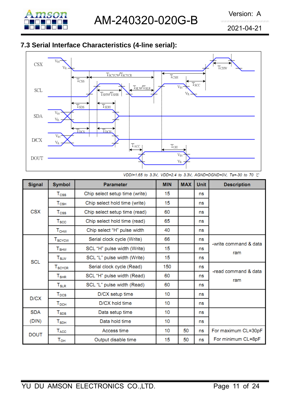

## **7.3 Serial Interface Characteristics (4-line serial):**



VDDI=1.65 to 3.3V, VDD=2.4 to 3.3V, AGND=DGND=0V, Ta=-30 to 70 ℃

| <b>Signal</b> | <b>Symbol</b><br><b>Parameter</b>                               |                                | <b>MIN</b> | <b>MAX</b> | <b>Unit</b> | <b>Description</b>    |
|---------------|-----------------------------------------------------------------|--------------------------------|------------|------------|-------------|-----------------------|
|               | $\mathsf{T}_{\textsf{CSS}}$                                     | Chip select setup time (write) | 15         |            | ns          |                       |
|               | Chip select hold time (write)<br>$T_{\scriptstyle{\text{CSH}}}$ |                                | 15         |            | ns          |                       |
| <b>CSX</b>    | T <sub>CSS</sub>                                                | Chip select setup time (read)  | 60         |            | ns          |                       |
|               | $T_{\scriptstyle\rm SCC}$                                       | Chip select hold time (read)   | 65         |            | ns          |                       |
|               | ${\tt T_{CHW}}$                                                 | Chip select "H" pulse width    | 40         |            | ns          |                       |
|               | T <sub>SCYCW</sub>                                              | Serial clock cycle (Write)     | 66         |            | ns          | -write command & data |
|               | <b>T</b> <sub>SHW</sub>                                         | SCL "H" pulse width (Write)    |            |            | ns          | ram                   |
| <b>SCL</b>    | $T_{\scriptstyle\text{SLW}}$                                    | SCL "L" pulse width (Write)    | 15         |            | ns          |                       |
|               | T <sub>SCYCR</sub>                                              | Serial clock cycle (Read)      |            |            | ns          | -read command & data  |
|               | ${\tt T_{SHR}}$                                                 | SCL "H" pulse width (Read)     |            |            | ns          | ram                   |
|               | $T_{\scriptstyle\text{SLR}}$                                    | SCL "L" pulse width (Read)     | 60         |            | ns          |                       |
| D/CX          | <b>T</b> <sub>DCS</sub>                                         | D/CX setup time                |            |            | ns          |                       |
|               | $T_{DCH}$                                                       | D/CX hold time                 | 10         |            | ns          |                       |
| <b>SDA</b>    | $T_{\texttt{SDS}}$                                              | Data setup time                | 10         |            | ns          |                       |
| (DIN)         | $\mathsf{T}_{\mathsf{SDH}}$                                     | Data hold time                 | 10         |            | ns          |                       |
| <b>DOUT</b>   | T <sub>ACC</sub>                                                | Access time                    | 10         | 50         | ns          | For maximum CL=30pF   |
|               | Тон                                                             | Output disable time            | 15         | 50         | ns          | For minimum CL=8pF    |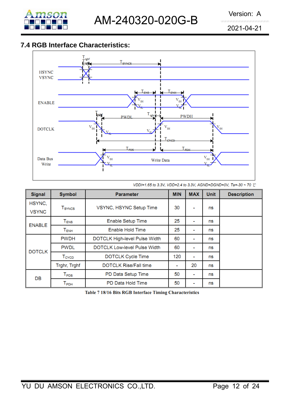

## **7.4 RGB Interface Characteristics:**



VDDI=1.65 to 3.3V, VDD=2.4 to 3.3V, AGND=DGND=0V, Ta=-30 ~ 70 °C

| <b>Signal</b>          | <b>Symbol</b>                  | <b>Parameter</b>                    | <b>MIN</b> | <b>MAX</b>     | <b>Unit</b> | <b>Description</b> |
|------------------------|--------------------------------|-------------------------------------|------------|----------------|-------------|--------------------|
| HSYNC,<br><b>VSYNC</b> | <b>T</b> <sub>SYNCS</sub>      | VSYNC, HSYNC Setup Time             | 30         | ۰              | ns          |                    |
| <b>ENABLE</b>          | $\mathsf{T}_\mathsf{ENS}$      | <b>Enable Setup Time</b>            |            | ۰              | ns          |                    |
|                        | $T_{ENH}$                      | Enable Hold Time                    | 25         | $\blacksquare$ | ns          |                    |
|                        | <b>PWDH</b>                    | DOTCLK High-level Pulse Width       | 60         | ٠              | ns          |                    |
| <b>DOTCLK</b>          | <b>PWDL</b>                    | <b>DOTCLK Low-level Pulse Width</b> | 60         | ۰              | ns          |                    |
|                        | T <sub>CYCD</sub>              | <b>DOTCLK Cycle Time</b>            | 120        | ۰              | ns          |                    |
|                        | Trghr, Trghf                   | <b>DOTCLK Rise/Fall time</b>        | ٠          | 20             | ns          |                    |
| DB                     | $\mathsf{T}_\mathsf{PDS}$      | PD Data Setup Time                  | 50         | ۰              | ns          |                    |
|                        | $\mathsf{\Gamma}_\mathsf{PDH}$ | PD Data Hold Time                   | 50         | ۰              | ns          |                    |

Table 7 18/16 Bits RGB Interface Timing Characteristics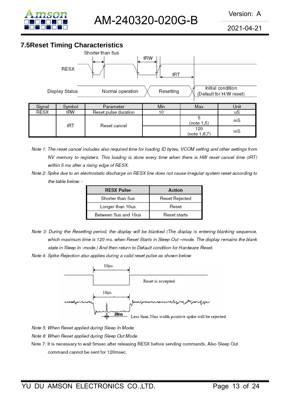

## **7.5Reset Timing Characteristics**



- Note 1: The reset cancel includes also required time for loading ID bytes, VCOM setting and other settings from NV memory to registers. This loading is done every time when there is HW reset cancel time (tRT) within 5 ms after a rising edge of RESX.
- Note 2: Spike due to an electrostatic discharge on RESX line does not cause irregular system reset according to the table below: -

| <b>RESX Pulse</b>    | Action         |
|----------------------|----------------|
| Shorter than 5us     | Reset Rejected |
| Longer than 10us     | Reset          |
| Between 5us and 10us | Reset starts   |

- Note 3: During the Resetting period, the display will be blanked (The display is entering blanking sequence, which maximum time is 120 ms, when Reset Starts in Sleep Out -mode. The display remains the blank state in Sleep In -mode.) And then return to Default condition for Hardware Reset.
- Note 4: Spike Rejection also applies during a valid reset pulse as shown below:



Note 5: When Reset applied during Sleep In Mode.

- Note 6: When Reset applied during Sleep Out Mode.
- Note 7: It is necessary to wait 5msec after releasing RESX before sending commands. Also Sleep Out command cannot be sent for 120msec.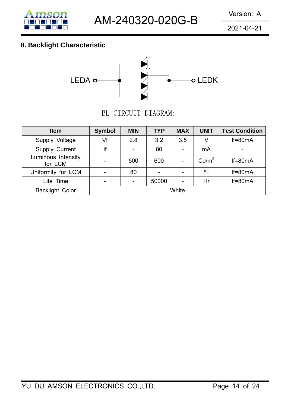

## **8. Backlight Characteristic**



BL CIRCUIT DIAGRAM:

| <b>Item</b>                   | <b>Symbol</b> | <b>MIN</b> | <b>TYP</b> | <b>MAX</b> | <b>UNIT</b>       | <b>Test Condition</b> |
|-------------------------------|---------------|------------|------------|------------|-------------------|-----------------------|
| Supply Voltage                | Vf            | 2.8        | 3.2        | 3.5        | V                 | $If=80mA$             |
| Supply Current                | lf            |            | 80         |            | mA                | -                     |
| Luminous Intensity<br>for LCM |               | 500        | 600        |            | Cd/m <sup>2</sup> | $If=80mA$             |
| Uniformity for LCM            |               | 80         |            |            | $\frac{0}{0}$     | $If=80mA$             |
| Life Time                     | -             |            | 50000      |            | Hr                | $If=80mA$             |
| <b>Backlight Color</b>        |               |            |            | White      |                   |                       |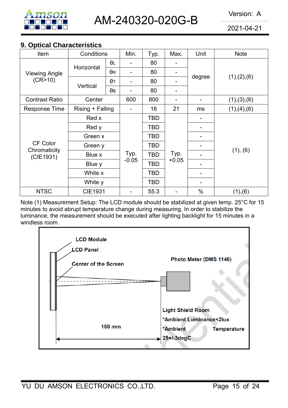

#### **9. Optical Characteristics**

| Item                      | Conditions       |            | Min.           | Typ.       | Max.    | Unit                     | <b>Note</b>   |  |
|---------------------------|------------------|------------|----------------|------------|---------|--------------------------|---------------|--|
|                           |                  | θL         |                | 80         |         |                          |               |  |
| <b>Viewing Angle</b>      | Horizontal       | $\theta$ R | -              | 80         |         |                          |               |  |
| (CR>10)                   |                  | $\theta$ T | $\blacksquare$ | 80         |         | degree                   | (1), (2), (6) |  |
|                           | Vertical         | $\theta$ B |                | 80         | -       |                          |               |  |
| <b>Contrast Ratio</b>     | Center           |            | 600            | 800        |         | $\overline{\phantom{0}}$ | (1), (3), (6) |  |
| Response Time             | Rising + Falling |            | $\blacksquare$ | 16         | 21      | ms                       | (1), (4), (6) |  |
|                           | Red x            |            |                | TBD        |         |                          |               |  |
|                           | Red y<br>Green x |            |                | <b>TBD</b> |         |                          |               |  |
|                           |                  |            |                | TBD        |         | -                        |               |  |
| CF Color                  | Green y          |            |                | TBD        |         |                          |               |  |
| Chromaticity<br>(CIE1931) | Blue x           |            | Typ.           | <b>TBD</b> | Typ.    |                          | (1), (6)      |  |
|                           | Blue y           |            | $-0.05$        | <b>TBD</b> | $+0.05$ |                          |               |  |
|                           | White x          |            |                | <b>TBD</b> |         | -                        |               |  |
|                           | White y          |            |                | <b>TBD</b> |         | ۰                        |               |  |
| <b>NTSC</b>               | <b>CIE1931</b>   |            |                | 55.3       |         | $\%$                     | (1), (6)      |  |

Note (1) Measurement Setup: The LCD module should be stabilized at given temp. 25°C for 15 minutes to avoid abrupt temperature change during measuring. In order to stabilize the luminance, the measurement should be executed after lighting backlight for 15 minutes in a windless room.

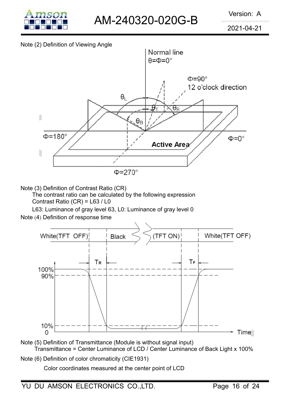

#### Note (2) Definition of Viewing Angle



Note (3) Definition of Contrast Ratio (CR)

The contrast ratio can be calculated by the following expression Contrast Ratio (CR) = L63 / L0

L63: Luminance of gray level 63, L0: Luminance of gray level 0

Note (4) Definition of response time



- Note (5) Definition of Transmittance (Module is without signal input) Transmittance = Center Luminance of LCD / Center Luminance of Back Light x 100%
- Note (6) Definition of color chromaticity (CIE1931)

Color coordinates measured at the center point of LCD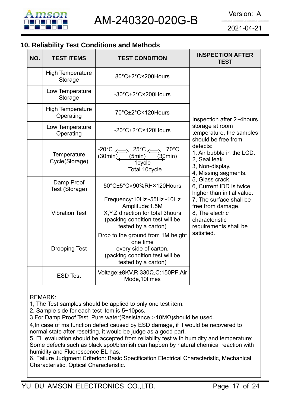

## **10. Reliability Test Conditions and Methods**

| NO. | <b>TEST ITEMS</b>                    | <b>TEST CONDITION</b>                                                                                                                       | <b>INSPECTION AFTER</b><br><b>TEST</b>                                                                     |
|-----|--------------------------------------|---------------------------------------------------------------------------------------------------------------------------------------------|------------------------------------------------------------------------------------------------------------|
|     | <b>High Temperature</b><br>Storage   | 80°C±2°C×200Hours                                                                                                                           |                                                                                                            |
|     | Low Temperature<br>Storage           | -30°C±2°C×200Hours                                                                                                                          |                                                                                                            |
|     | <b>High Temperature</b><br>Operating | 70°C±2°C×120Hours                                                                                                                           | Inspection after 2~4 hours                                                                                 |
|     | Low Temperature<br>Operating         | -20°C±2°C×120Hours                                                                                                                          | storage at room<br>temperature, the samples<br>should be free from                                         |
|     | Temperature<br>Cycle(Storage)        | $70^{\circ}$ C<br>$-20^{\circ}C \iff 25^{\circ}C \iff$<br>(5min)<br>(30min)<br>(30min)<br>1cycle<br>Total 10cycle                           | defects:<br>1, Air bubble in the LCD.<br>2, Seal leak.<br>3, Non-display.<br>4, Missing segments.          |
|     | Damp Proof<br>Test (Storage)         | 50°C±5°C×90%RH×120Hours                                                                                                                     | 5, Glass crack.<br>6, Current IDD is twice<br>higher than initial value.                                   |
|     | <b>Vibration Test</b>                | Frequency:10Hz~55Hz~10Hz<br>Amplitude: 1.5M<br>X, Y, Z direction for total 3hours<br>(packing condition test will be<br>tested by a carton) | 7, The surface shall be<br>free from damage.<br>8, The electric<br>characteristic<br>requirements shall be |
|     | <b>Drooping Test</b>                 | Drop to the ground from 1M height<br>one time<br>every side of carton.<br>(packing condition test will be<br>tested by a carton)            | satisfied.                                                                                                 |
|     | <b>ESD Test</b>                      | Voltage: $\pm$ 8KV, R:330 $\Omega$ , C:150PF, Air<br>Mode, 10times                                                                          |                                                                                                            |

REMARK:

1, The Test samples should be applied to only one test item.

2, Sample side for each test item is 5~10pcs.

3,For Damp Proof Test, Pure water(Resistance>10MΩ)should be used.

4,In case of malfunction defect caused by ESD damage, if it would be recovered to normal state after resetting, it would be judge as a good part.

5, EL evaluation should be accepted from reliability test with humidity and temperature: Some defects such as black spot/blemish can happen by natural chemical reaction with humidity and Fluorescence EL has.

6, Failure Judgment Criterion: Basic Specification Electrical Characteristic, Mechanical Characteristic, Optical Characteristic.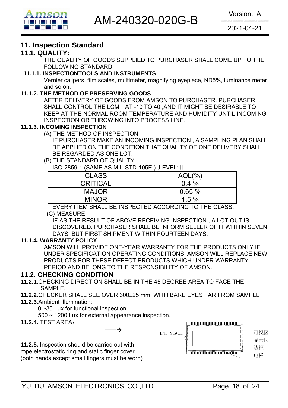

## **11. Inspection Standard**

#### **11.1. QUALITY:**

THE QUALITY OF GOODS SUPPLIED TO PURCHASER SHALL COME UP TO THE FOLLOWING STANDARD.

#### **11.1.1. INSPECTIONTOOLS AND INSTRUMENTS**

Vernier calipers, film scales, multimeter, magnifying eyepiece, ND5%, luminance meter and so on.

#### **11.1.2. THE METHOD OF PRESERVING GOODS**

AFTER DELIVERY OF GOODS FROM AMSON TO PURCHASER. PURCHASER SHALL CONTROL THE LCM AT -10 TO 40 ,AND IT MIGHT BE DESIRABLE TO KEEP AT THE NORMAL ROOM TEMPERATURE AND HUMIDITY UNTIL INCOMING INSPECTION OR THROWING INTO PROCESS LINE.

#### **11.1.3. INCOMING INSPECTION**

(A) THE METHOD OF INSPECTION

 IF PURCHASER MAKE AN INCOMING INSPECTION , A SAMPLING PLAN SHALL BE APPLIED ON THE CONDITION THAT QUALITY OF ONE DELIVERY SHALL BE REGARDED AS ONE LOT.

#### (B) THE STANDARD OF QUALITY

ISO-2859-1 (SAME AS MIL-STD-105E ) ,LEVEL:II

| $AQL(\%)$ |
|-----------|
| $0.4\%$   |
| 0.65%     |
| 1.5%      |
|           |

EVERY ITEM SHALL BE INSPECTED ACCORDING TO THE CLASS.

#### (C) MEASURE

IF AS THE RESULT OF ABOVE RECEIVING INSPECTION , A LOT OUT IS DISCOVERED. PURCHASER SHALL BE INFORM SELLER OF IT WITHIN SEVEN DAYS. BUT FIRST SHIPMENT WITHIN FOURTEEN DAYS.

#### **11.1.4. WARRANTY POLICY**

AMSON WILL PROVIDE ONE-YEAR WARRANTY FOR THE PRODUCTS ONLY IF UNDER SPECIFICATION OPERATING CONDITIONS. AMSON WILL REPLACE NEW PRODUCTS FOR THESE DEFECT PRODUCTS WHICH UNDER WARRANTY PERIOD AND BELONG TO THE RESPONSIBILITY OF AMSON.

#### **11.2. CHECKING CONDITION**

- **11.2.1.**CHECKING DIRECTION SHALL BE IN THE 45 DEGREE AREA TO FACE THE SAMPLE.
- **11.2.2.**CHECKER SHALL SEE OVER 300±25 mm. WITH BARE EYES FAR FROM SAMPLE
- **11.2.3.**Ambient Illumination:

0 ~30 Lux for functional inspection

500 ~ 1200 Lux for external appearance inspection.

 $\longrightarrow$ 

**11.2.4.** TEST AREA:

**11.2.5.** Inspection should be carried out with rope electrostatic ring and static finger cover (both hands except small fingers must be worn)

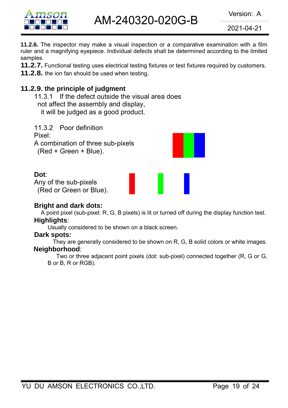

AM-240320-020G-B Version: A

2021-04-21

**11.2.6.** The inspector may make a visual inspection or a comparative examination with a film ruler and a magnifying eyepiece. Individual defects shall be determined according to the limited samples.

**11.2.7.** Functional testing uses electrical testing fixtures or test fixtures required by customers.

**11.2.8.** the ion fan should be used when testing.

## **11.2.9. the principle of judgment**

11.3.1 If the defect outside the visual area does not affect the assembly and display, it will be judged as a good product.

11.3.2 Poor definition Pixel: A combination of three sub-pixels (Red + Green + Blue).

#### **Dot**:

Any of the sub-pixels (Red or Green or Blue).

#### **Bright and dark dots:**

A point pixel (sub-pixel: R, G, B pixels) is lit or turned off during the display function test. **Highlights**:

Usually considered to be shown on a black screen.

#### **Dark spots:**

They are generally considered to be shown on R, G, B solid colors or white images. **Neighborhood**:

Two or three adjacent point pixels (dot: sub-pixel) connected together (R, G or G, B or B, R or RGB).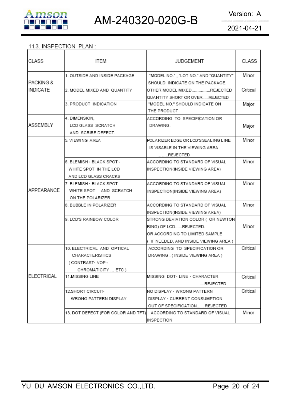

#### 11.3. INSPECTION PLAN:

| CLASS                | ITEM                                                                                   | <b>JUDGEMENT</b>                                                                                                                        | CLASS    |
|----------------------|----------------------------------------------------------------------------------------|-----------------------------------------------------------------------------------------------------------------------------------------|----------|
| <b>PACKING &amp;</b> | 1. OUTSIDE AND INSIDE PACKAGE                                                          | "MODEL NO.", "LOT NO." AND "QUANTITY"<br>SHOULD INDICATE ON THE PACKAGE.                                                                | Minor    |
| INDICATE             | 12. MODEL MIXED AND QUANTITY                                                           | OTHER MODEL MIXEDREJECTED<br>QUANTITY SHORT OR OVERREJECTED                                                                             | Critical |
|                      | 3. PRODUCT INDICATION                                                                  | "MODEL NO." SHOULD INDICATE ON<br>THE PRODUCT                                                                                           | Major    |
| ASSEMBLY             | 4. DIMENSION,<br>LCD GLASS SCRATCH<br>AND SCRIBE DEFECT.                               | ACCORDING TO SPECIFICATION OR<br>DRAWING.                                                                                               | Major    |
|                      | 5. VIEWING AREA                                                                        | POLARIZER EDGE OR LCD'S SEALING LINE<br>IS VISABLE IN THE VIEWING AREA<br>REJECTED                                                      | Minor    |
|                      | 6. BLEMISH - BLACK SPOT -<br>WHITE SPOT IN THE LCD<br>AND LCD GLASS CRACKS             | ACCORDING TO STANDARD OF VISUAL<br>INSPECTION(INSIDE VIEWING AREA)                                                                      | Minor    |
| <b>APPEARANCE</b>    | I7. BLEMISH ⋅ BLACK SPOT<br>WHITE SPOT AND SCRATCH<br>ON THE POLARIZER                 | ACCORDING TO STANDARD OF VISUAL<br>INSPECTION(INSIDE VIEWING AREA)                                                                      | Minor    |
|                      | 8. BUBBLE IN POLARIZER                                                                 | ACCORDING TO STANDARD OF VISUAL<br>INSPECTION(INSIDE VIEWING AREA)                                                                      | Minor    |
|                      | 9. LCD'S RAINBOW COLOR                                                                 | STRONG DEVIATION COLOR ( OR NEWTON)<br>RING) OF LCDREJECTED.<br>OR ACCORDING TO LIMITED SAMPLE<br>(IF NEEDED, AND INSIDE VIEWING AREA ) | Minor    |
|                      | 10. ELECTRICAL AND OPTICAL<br>CHARACTERISTICS<br>(CONTRAST-VOP-<br>CHROMATICITY  ETC ) | ACCORDING TO SPECIFICATION OR<br>DRAWING . (INSIDE VIEWING AREA)                                                                        | Critical |
| ELECTRICAL           | <b>11.MISSING LINE</b>                                                                 | IMISSING DOT←LINE→CHARACTER<br>REJECTED                                                                                                 | Critical |
|                      | 12.SHORT CIRCUIT <sub>*</sub><br>WRONG PATTERN DISPLAY                                 | NO DISPLAY - WRONG PATTERN<br>DISPLAY · CURRENT CONSUMPTION<br>OUT OF SPECIFICATION REJECTED                                            | Critical |
|                      | 13. DOT DEFECT (FOR COLOR AND TFT)                                                     | ACCORDING TO STANDARD OF VISUAL<br>INSPECTION                                                                                           | Minor    |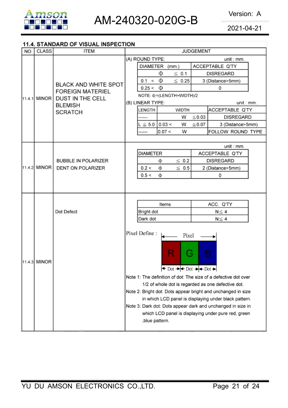

#### 11.4. STANDARD OF VISUAL INSPECTION

| NO. | <b>CLASS</b> | <b>ITEM</b>                                                                       | <b>JUDGEMENT</b>                                                                                                      |  |  |  |  |  |
|-----|--------------|-----------------------------------------------------------------------------------|-----------------------------------------------------------------------------------------------------------------------|--|--|--|--|--|
|     |              |                                                                                   | (A) ROUND TYPE:<br>unit : mm.                                                                                         |  |  |  |  |  |
|     |              |                                                                                   | <b>DIAMETER</b><br>ACCEPTABLE Q'TY<br>(mm.)                                                                           |  |  |  |  |  |
|     |              | <b>BLACK AND WHITE SPOT</b><br><b>FOREIGN MATERIEL</b><br><b>DUST IN THE CELL</b> | Φ<br>$\leq 0.1$<br><b>DISREGARD</b>                                                                                   |  |  |  |  |  |
|     |              |                                                                                   | Ф<br>0.1 <<br>$\leq 0.25$<br>3 (Distance>5mm)                                                                         |  |  |  |  |  |
|     |              |                                                                                   | $0.25 < \Phi$<br>0                                                                                                    |  |  |  |  |  |
|     | 11.4.1 MINOR |                                                                                   | NOTE: $\Phi$ = (LENGTH+WIDTH)/2                                                                                       |  |  |  |  |  |
|     |              | <b>BLEMISH</b>                                                                    | (B) LINEAR TYPE:<br>unit : mm.                                                                                        |  |  |  |  |  |
|     |              | <b>SCRATCH</b>                                                                    | <b>WIDTH</b><br>ACCEPTABLE Q'TY<br>LENGTH                                                                             |  |  |  |  |  |
|     |              |                                                                                   | $\leq$ 0.03<br><b>DISREGARD</b><br>W<br>-----                                                                         |  |  |  |  |  |
|     |              |                                                                                   | $L \le 5.0$ 0.03 <<br>W<br>$\leq 0.07$<br>3 (Distance>5mm)                                                            |  |  |  |  |  |
|     |              |                                                                                   | 0.07 <<br>W<br>FOLLOW ROUND TYPE<br>----                                                                              |  |  |  |  |  |
|     |              |                                                                                   |                                                                                                                       |  |  |  |  |  |
|     |              |                                                                                   | unit: mm.                                                                                                             |  |  |  |  |  |
|     |              |                                                                                   | <b>DIAMETER</b><br>ACCEPTABLE Q'TY                                                                                    |  |  |  |  |  |
|     | 11.4.2 MINOR | <b>BUBBLE IN POLARIZER</b><br>DENT ON POLARIZER                                   | $\leq 0.2$<br><b>DISREGARD</b><br>Φ<br>0.2 <<br>$\leq 0.5$                                                            |  |  |  |  |  |
|     |              |                                                                                   | 2 (Distance>5mm)<br>Φ<br>0.5 <<br>Ф<br>0                                                                              |  |  |  |  |  |
|     |              |                                                                                   |                                                                                                                       |  |  |  |  |  |
|     |              |                                                                                   |                                                                                                                       |  |  |  |  |  |
|     |              |                                                                                   |                                                                                                                       |  |  |  |  |  |
|     |              | Dot Defect                                                                        | ACC. Q'TY<br>Items                                                                                                    |  |  |  |  |  |
|     |              |                                                                                   | Bright dot<br>$N \leq 4$                                                                                              |  |  |  |  |  |
|     |              |                                                                                   | Dark dot<br>$N \leq 4$                                                                                                |  |  |  |  |  |
|     |              |                                                                                   |                                                                                                                       |  |  |  |  |  |
|     |              |                                                                                   | Pixel Define :<br>Pixel                                                                                               |  |  |  |  |  |
|     |              |                                                                                   |                                                                                                                       |  |  |  |  |  |
|     |              |                                                                                   | в                                                                                                                     |  |  |  |  |  |
|     |              |                                                                                   | ÷                                                                                                                     |  |  |  |  |  |
|     | 11.4.3 MINOR |                                                                                   |                                                                                                                       |  |  |  |  |  |
|     |              |                                                                                   | $\leftrightarrow$ Dot $\rightarrow$ Pot $\rightarrow$ Pot $\rightarrow$                                               |  |  |  |  |  |
|     |              |                                                                                   | Note 1: The definition of dot: The size of a defective dot over                                                       |  |  |  |  |  |
|     |              |                                                                                   | 1/2 of whole dot is regarded as one defective dot.                                                                    |  |  |  |  |  |
|     |              |                                                                                   | Note 2: Bright dot: Dots appear bright and unchanged in size<br>in which LCD panel is displaying under black pattern. |  |  |  |  |  |
|     |              |                                                                                   |                                                                                                                       |  |  |  |  |  |
|     |              |                                                                                   | Note 3: Dark dot: Dots appear dark and unchanged in size in                                                           |  |  |  |  |  |
|     |              |                                                                                   | which LCD panel is displaying under pure red, green<br>,blue pattern.                                                 |  |  |  |  |  |
|     |              |                                                                                   |                                                                                                                       |  |  |  |  |  |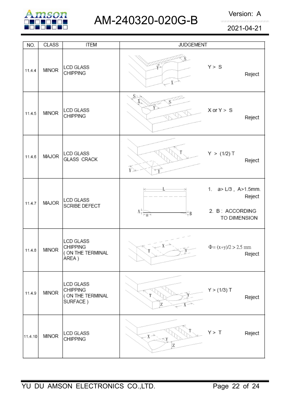

# AM-240320-020G-B Version: A

2021-04-21

| NO.     | <b>CLASS</b> | <b>ITEM</b>                                                       | <b>JUDGEMENT</b>                                                                 |                                                                  |
|---------|--------------|-------------------------------------------------------------------|----------------------------------------------------------------------------------|------------------------------------------------------------------|
| 11.4.4  | <b>MINOR</b> | <b>LCD GLASS</b><br><b>CHIPPING</b>                               | $X \sim$                                                                         | Y > S<br>Reject                                                  |
| 11.4.5  | <b>MINOR</b> | <b>LCD GLASS</b><br><b>CHIPPING</b>                               | S×                                                                               | $X$ or $Y > S$<br>Reject                                         |
| 11.4.6  | MAJOR        | <b>LCD GLASS</b><br><b>GLASS CRACK</b>                            | $\widetilde{Y}$                                                                  | Y > (1/2) T<br>Reject                                            |
| 11.4.7  | MAJOR        | <b>LCD GLASS</b><br>SCRIBE DEFECT                                 | $\Lambda_{\overline{\uparrow} \, \overline{\mid \neg a \rightarrow \mid}}$<br>±Β | 1. a> L/3, A>1.5mm.<br>Reject<br>2. B: ACCORDING<br>TO DIMENSION |
| 11.4.8  | <b>MINOR</b> | <b>LCD GLASS</b><br><b>CHIPPING</b><br>( ON THE TERMINAL<br>AREA) |                                                                                  | $\Phi = (x+y)/2 > 2.5$ mm<br>Reject                              |
| 11.4.9  | <b>MINOR</b> | LCD GLASS<br><b>CHIPPING</b><br>( ON THE TERMINAL<br>SURFACE)     | Z                                                                                | $Y > (1/3)$ T<br>Reject                                          |
| 11.4.10 | <b>MINOR</b> | LCD GLASS<br><b>CHIPPING</b>                                      | $X \rightarrow$<br>Z                                                             | Y > T<br>Reject                                                  |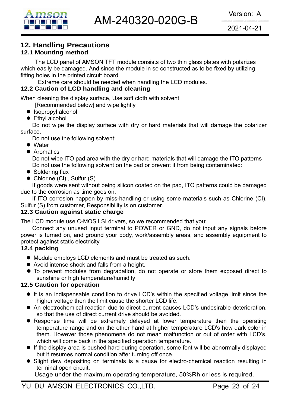## **12. Handling Precautions**

#### **12.1 Mounting method**

The LCD panel of AMSON TFT module consists of two thin glass plates with polarizes which easily be damaged. And since the module in so constructed as to be fixed by utilizing fitting holes in the printed circuit board.

Extreme care should be needed when handling the LCD modules.

#### **12.2 Caution of LCD handling and cleaning**

When cleaning the display surface, Use soft cloth with solvent

[Recommended below] and wipe lightly

- $\bullet$  Isopropyl alcohol
- $\bullet$  Ethyl alcohol

 Do not wipe the display surface with dry or hard materials that will damage the polarizer surface.

Do not use the following solvent:

- Water
- **Aromatics**

 Do not wipe ITO pad area with the dry or hard materials that will damage the ITO patterns Do not use the following solvent on the pad or prevent it from being contaminated:

- $\bullet$  Soldering flux
- $\bullet$  Chlorine (CI), Sulfur (S)

If goods were sent without being silicon coated on the pad, ITO patterns could be damaged due to the corrosion as time goes on.

If ITO corrosion happen by miss-handling or using some materials such as Chlorine (CI), Sulfur (S) from customer, Responsibility is on customer.

#### **12.3 Caution against static charge**

The LCD module use C-MOS LSI drivers, so we recommended that you:

Connect any unused input terminal to POWER or GND, do not input any signals before power is turned on, and ground your body, work/assembly areas, and assembly equipment to protect against static electricity.

#### **12.4 packing**

- Module employs LCD elements and must be treated as such.
- Avoid intense shock and falls from a height.
- $\bullet$  To prevent modules from degradation, do not operate or store them exposed direct to sunshine or high temperature/humidity

#### **12.5 Caution for operation**

- It is an indispensable condition to drive LCD's within the specified voltage limit since the higher voltage then the limit cause the shorter LCD life.
- An electrochemical reaction due to direct current causes LCD's undesirable deterioration, so that the use of direct current drive should be avoided.
- Response time will be extremely delayed at lower temperature then the operating temperature range and on the other hand at higher temperature LCD's how dark color in them. However those phenomena do not mean malfunction or out of order with LCD's, which will come back in the specified operation temperature.
- $\bullet$  If the display area is pushed hard during operation, some font will be abnormally displayed but it resumes normal condition after turning off once.
- Slight dew depositing on terminals is a cause for electro-chemical reaction resulting in terminal open circuit.

Usage under the maximum operating temperature, 50%Rh or less is required.